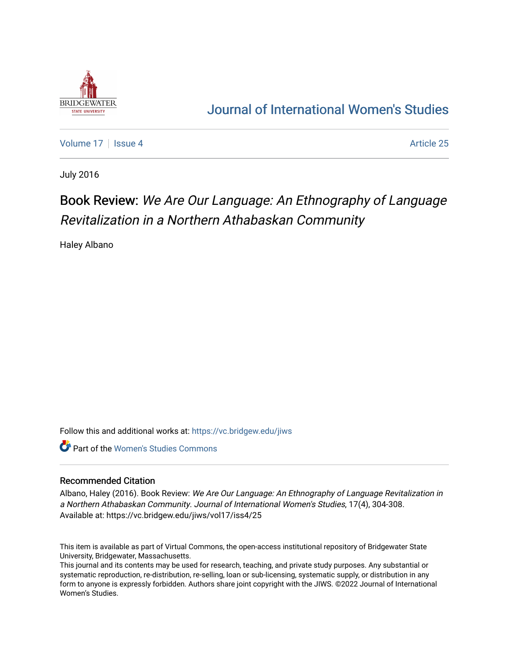

## [Journal of International Women's Studies](https://vc.bridgew.edu/jiws)

[Volume 17](https://vc.bridgew.edu/jiws/vol17) | [Issue 4](https://vc.bridgew.edu/jiws/vol17/iss4) Article 25

July 2016

# Book Review: We Are Our Language: An Ethnography of Language Revitalization in a Northern Athabaskan Community

Haley Albano

Follow this and additional works at: [https://vc.bridgew.edu/jiws](https://vc.bridgew.edu/jiws?utm_source=vc.bridgew.edu%2Fjiws%2Fvol17%2Fiss4%2F25&utm_medium=PDF&utm_campaign=PDFCoverPages)

**C** Part of the Women's Studies Commons

#### Recommended Citation

Albano, Haley (2016). Book Review: We Are Our Language: An Ethnography of Language Revitalization in a Northern Athabaskan Community. Journal of International Women's Studies, 17(4), 304-308. Available at: https://vc.bridgew.edu/jiws/vol17/iss4/25

This item is available as part of Virtual Commons, the open-access institutional repository of Bridgewater State University, Bridgewater, Massachusetts.

This journal and its contents may be used for research, teaching, and private study purposes. Any substantial or systematic reproduction, re-distribution, re-selling, loan or sub-licensing, systematic supply, or distribution in any form to anyone is expressly forbidden. Authors share joint copyright with the JIWS. ©2022 Journal of International Women's Studies.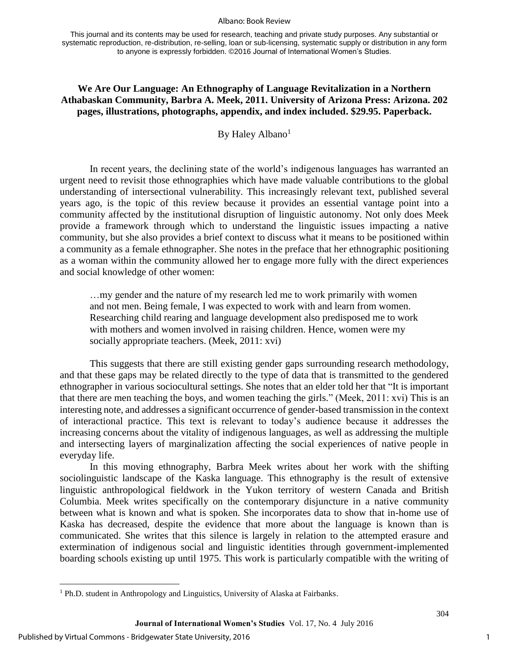#### Albano: Book Review

This journal and its contents may be used for research, teaching and private study purposes. Any substantial or systematic reproduction, re-distribution, re-selling, loan or sub-licensing, systematic supply or distribution in any form to anyone is expressly forbidden. ©2016 Journal of International Women's Studies.

## **We Are Our Language: An Ethnography of Language Revitalization in a Northern Athabaskan Community, Barbra A. Meek, 2011. University of Arizona Press: Arizona. 202 pages, illustrations, photographs, appendix, and index included. \$29.95. Paperback.**

By Haley Albano<sup>1</sup>

In recent years, the declining state of the world's indigenous languages has warranted an urgent need to revisit those ethnographies which have made valuable contributions to the global understanding of intersectional vulnerability. This increasingly relevant text, published several years ago, is the topic of this review because it provides an essential vantage point into a community affected by the institutional disruption of linguistic autonomy. Not only does Meek provide a framework through which to understand the linguistic issues impacting a native community, but she also provides a brief context to discuss what it means to be positioned within a community as a female ethnographer. She notes in the preface that her ethnographic positioning as a woman within the community allowed her to engage more fully with the direct experiences and social knowledge of other women:

…my gender and the nature of my research led me to work primarily with women and not men. Being female, I was expected to work with and learn from women. Researching child rearing and language development also predisposed me to work with mothers and women involved in raising children. Hence, women were my socially appropriate teachers. (Meek, 2011: xvi)

This suggests that there are still existing gender gaps surrounding research methodology, and that these gaps may be related directly to the type of data that is transmitted to the gendered ethnographer in various sociocultural settings. She notes that an elder told her that "It is important that there are men teaching the boys, and women teaching the girls." (Meek, 2011: xvi) This is an interesting note, and addresses a significant occurrence of gender-based transmission in the context of interactional practice. This text is relevant to today's audience because it addresses the increasing concerns about the vitality of indigenous languages, as well as addressing the multiple and intersecting layers of marginalization affecting the social experiences of native people in everyday life.

In this moving ethnography, Barbra Meek writes about her work with the shifting sociolinguistic landscape of the Kaska language. This ethnography is the result of extensive linguistic anthropological fieldwork in the Yukon territory of western Canada and British Columbia. Meek writes specifically on the contemporary disjuncture in a native community between what is known and what is spoken. She incorporates data to show that in-home use of Kaska has decreased, despite the evidence that more about the language is known than is communicated. She writes that this silence is largely in relation to the attempted erasure and extermination of indigenous social and linguistic identities through government-implemented boarding schools existing up until 1975. This work is particularly compatible with the writing of

 $\overline{\phantom{a}}$ 

1

<sup>&</sup>lt;sup>1</sup> Ph.D. student in Anthropology and Linguistics, University of Alaska at Fairbanks.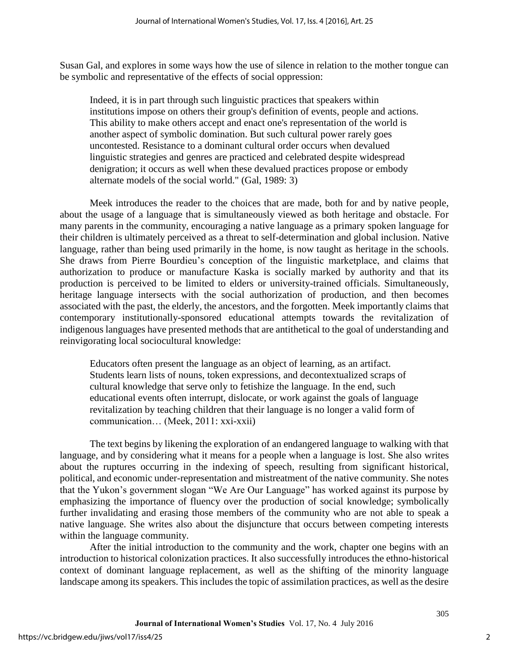Susan Gal, and explores in some ways how the use of silence in relation to the mother tongue can be symbolic and representative of the effects of social oppression:

Indeed, it is in part through such linguistic practices that speakers within institutions impose on others their group's definition of events, people and actions. This ability to make others accept and enact one's representation of the world is another aspect of symbolic domination. But such cultural power rarely goes uncontested. Resistance to a dominant cultural order occurs when devalued linguistic strategies and genres are practiced and celebrated despite widespread denigration; it occurs as well when these devalued practices propose or embody alternate models of the social world." (Gal, 1989: 3)

Meek introduces the reader to the choices that are made, both for and by native people, about the usage of a language that is simultaneously viewed as both heritage and obstacle. For many parents in the community, encouraging a native language as a primary spoken language for their children is ultimately perceived as a threat to self-determination and global inclusion. Native language, rather than being used primarily in the home, is now taught as heritage in the schools. She draws from Pierre Bourdieu's conception of the linguistic marketplace, and claims that authorization to produce or manufacture Kaska is socially marked by authority and that its production is perceived to be limited to elders or university-trained officials. Simultaneously, heritage language intersects with the social authorization of production, and then becomes associated with the past, the elderly, the ancestors, and the forgotten. Meek importantly claims that contemporary institutionally-sponsored educational attempts towards the revitalization of indigenous languages have presented methods that are antithetical to the goal of understanding and reinvigorating local sociocultural knowledge:

Educators often present the language as an object of learning, as an artifact. Students learn lists of nouns, token expressions, and decontextualized scraps of cultural knowledge that serve only to fetishize the language. In the end, such educational events often interrupt, dislocate, or work against the goals of language revitalization by teaching children that their language is no longer a valid form of communication… (Meek, 2011: xxi-xxii)

The text begins by likening the exploration of an endangered language to walking with that language, and by considering what it means for a people when a language is lost. She also writes about the ruptures occurring in the indexing of speech, resulting from significant historical, political, and economic under-representation and mistreatment of the native community. She notes that the Yukon's government slogan "We Are Our Language" has worked against its purpose by emphasizing the importance of fluency over the production of social knowledge; symbolically further invalidating and erasing those members of the community who are not able to speak a native language. She writes also about the disjuncture that occurs between competing interests within the language community.

After the initial introduction to the community and the work, chapter one begins with an introduction to historical colonization practices. It also successfully introduces the ethno-historical context of dominant language replacement, as well as the shifting of the minority language landscape among its speakers. This includes the topic of assimilation practices, as well as the desire

305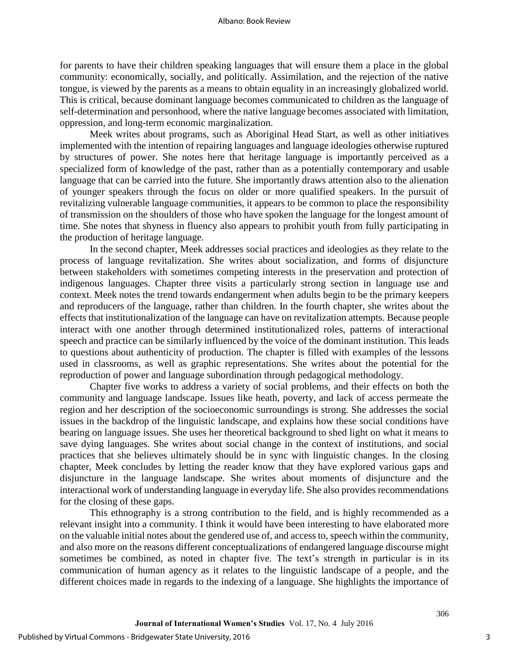for parents to have their children speaking languages that will ensure them a place in the global community: economically, socially, and politically. Assimilation, and the rejection of the native tongue, is viewed by the parents as a means to obtain equality in an increasingly globalized world. This is critical, because dominant language becomes communicated to children as the language of self-determination and personhood, where the native language becomes associated with limitation, oppression, and long-term economic marginalization.

Meek writes about programs, such as Aboriginal Head Start, as well as other initiatives implemented with the intention of repairing languages and language ideologies otherwise ruptured by structures of power. She notes here that heritage language is importantly perceived as a specialized form of knowledge of the past, rather than as a potentially contemporary and usable language that can be carried into the future. She importantly draws attention also to the alienation of younger speakers through the focus on older or more qualified speakers. In the pursuit of revitalizing vulnerable language communities, it appears to be common to place the responsibility of transmission on the shoulders of those who have spoken the language for the longest amount of time. She notes that shyness in fluency also appears to prohibit youth from fully participating in the production of heritage language.

In the second chapter, Meek addresses social practices and ideologies as they relate to the process of language revitalization. She writes about socialization, and forms of disjuncture between stakeholders with sometimes competing interests in the preservation and protection of indigenous languages. Chapter three visits a particularly strong section in language use and context. Meek notes the trend towards endangerment when adults begin to be the primary keepers and reproducers of the language, rather than children. In the fourth chapter, she writes about the effects that institutionalization of the language can have on revitalization attempts. Because people interact with one another through determined institutionalized roles, patterns of interactional speech and practice can be similarly influenced by the voice of the dominant institution. This leads to questions about authenticity of production. The chapter is filled with examples of the lessons used in classrooms, as well as graphic representations. She writes about the potential for the reproduction of power and language subordination through pedagogical methodology.

Chapter five works to address a variety of social problems, and their effects on both the community and language landscape. Issues like heath, poverty, and lack of access permeate the region and her description of the socioeconomic surroundings is strong. She addresses the social issues in the backdrop of the linguistic landscape, and explains how these social conditions have bearing on language issues. She uses her theoretical background to shed light on what it means to save dying languages. She writes about social change in the context of institutions, and social practices that she believes ultimately should be in sync with linguistic changes. In the closing chapter, Meek concludes by letting the reader know that they have explored various gaps and disjuncture in the language landscape. She writes about moments of disjuncture and the interactional work of understanding language in everyday life. She also provides recommendations for the closing of these gaps.

This ethnography is a strong contribution to the field, and is highly recommended as a relevant insight into a community. I think it would have been interesting to have elaborated more on the valuable initial notes about the gendered use of, and access to, speech within the community, and also more on the reasons different conceptualizations of endangered language discourse might sometimes be combined, as noted in chapter five. The text's strength in particular is in its communication of human agency as it relates to the linguistic landscape of a people, and the different choices made in regards to the indexing of a language. She highlights the importance of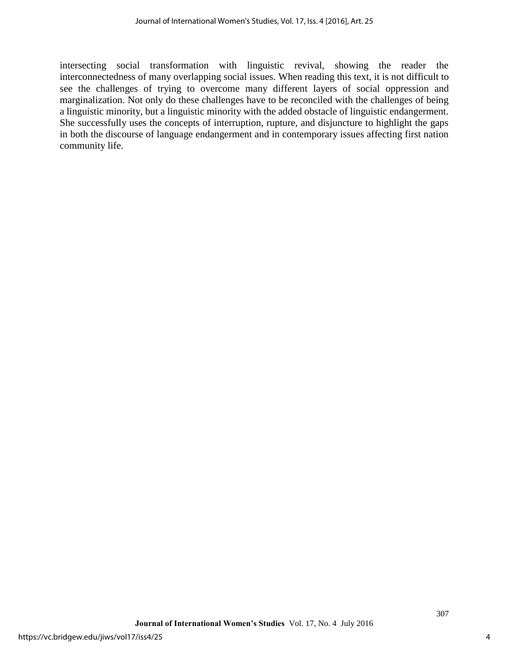intersecting social transformation with linguistic revival, showing the reader the interconnectedness of many overlapping social issues. When reading this text, it is not difficult to see the challenges of trying to overcome many different layers of social oppression and marginalization. Not only do these challenges have to be reconciled with the challenges of being a linguistic minority, but a linguistic minority with the added obstacle of linguistic endangerment. She successfully uses the concepts of interruption, rupture, and disjuncture to highlight the gaps in both the discourse of language endangerment and in contemporary issues affecting first nation community life.